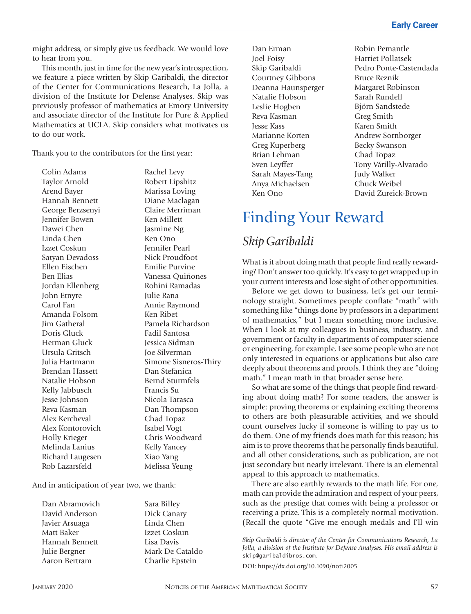might address, or simply give us feedback. We would love to hear from you.

This month, just in time for the new year's introspection, we feature a piece written by Skip Garibaldi, the director of the Center for Communications Research, La Jolla, a division of the Institute for Defense Analyses. Skip was previously professor of mathematics at Emory University and associate director of the Institute for Pure & Applied Mathematics at UCLA. Skip considers what motivates us to do our work.

Thank you to the contributors for the first year:

Colin Adams Taylor Arnold Arend Bayer Hannah Bennett George Berzsenyi Jennifer Bowen Dawei Chen Linda Chen Izzet Coskun Satyan Devadoss Ellen Eischen Ben Elias Jordan Ellenberg John Etnyre Carol Fan Amanda Folsom Jim Gatheral Doris Gluck Herman Gluck Ursula Gritsch Julia Hartmann Brendan Hassett Natalie Hobson Kelly Jabbusch Jesse Johnson Reva Kasman Alex Kercheval Alex Kontorovich Holly Krieger Melinda Lanius Richard Laugesen Rob Lazarsfeld

Rachel Levy Robert Lipshitz Marissa Loving Diane Maclagan Claire Merriman Ken Millett Jasmine Ng Ken Ono Jennifer Pearl Nick Proudfoot Emilie Purvine Vanessa Quiñones Rohini Ramadas Julie Rana Annie Raymond Ken Ribet Pamela Richardson Fadil Santosa Jessica Sidman Joe Silverman Simone Sisneros-Thiry Dan Stefanica Bernd Sturmfels Francis Su Nicola Tarasca Dan Thompson Chad Topaz Isabel Vogt Chris Woodward Kelly Yancey Xiao Yang Melissa Yeung

And in anticipation of year two, we thank:

Dan Abramovich David Anderson Javier Arsuaga Matt Baker Hannah Bennett Julie Bergner Aaron Bertram

Sara Billey Dick Canary Linda Chen Izzet Coskun Lisa Davis Mark De Cataldo Charlie Epstein

Dan Erman Joel Foisy Skip Garibaldi Courtney Gibbons Deanna Haunsperger Natalie Hobson Leslie Hogben Reva Kasman Jesse Kass Marianne Korten Greg Kuperberg Brian Lehman Sven Leyffer Sarah Mayes-Tang Anya Michaelsen Ken Ono

Robin Pemantle Harriet Pollatsek Pedro Ponte-Castendada Bruce Reznik Margaret Robinson Sarah Rundell Björn Sandstede Greg Smith Karen Smith Andrew Sornborger Becky Swanson Chad Topaz Tony Várilly-Alvarado Judy Walker Chuck Weibel David Zureick-Brown

## Finding Your Reward

## *Skip Garibaldi*

What is it about doing math that people find really rewarding? Don't answer too quickly. It's easy to get wrapped up in your current interests and lose sight of other opportunities.

Before we get down to business, let's get our terminology straight. Sometimes people conflate "math" with something like "things done by professors in a department of mathematics," but I mean something more inclusive. When I look at my colleagues in business, industry, and government or faculty in departments of computer science or engineering, for example, I see some people who are not only interested in equations or applications but also care deeply about theorems and proofs. I think they are "doing math." I mean math in that broader sense here.

So what are some of the things that people find rewarding about doing math? For some readers, the answer is simple: proving theorems or explaining exciting theorems to others are both pleasurable activities, and we should count ourselves lucky if someone is willing to pay us to do them. One of my friends does math for this reason; his aim is to prove theorems that he personally finds beautiful, and all other considerations, such as publication, are not just secondary but nearly irrelevant. There is an elemental appeal to this approach to mathematics.

There are also earthly rewards to the math life. For one, math can provide the admiration and respect of your peers, such as the prestige that comes with being a professor or receiving a prize. This is a completely normal motivation. (Recall the quote "Give me enough medals and I'll win

DOI: https://dx.doi.org/10.1090/noti2005

*Skip Garibaldi is director of the Center for Communications Research, La Jolla, a division of the Institute for Defense Analyses. His email address is*  skip@garibaldibros.com*.*